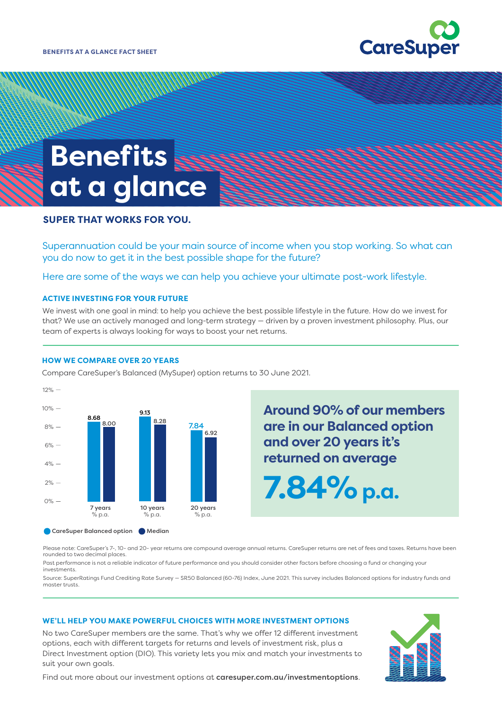

# **Benefits at a glance**

## **SUPER THAT WORKS FOR YOU.**

Superannuation could be your main source of income when you stop working. So what can you do now to get it in the best possible shape for the future?

Here are some of the ways we can help you achieve your ultimate post-work lifestyle.

#### **ACTIVE INVESTING FOR YOUR FUTURE**

We invest with one goal in mind: to help you achieve the best possible lifestyle in the future. How do we invest for that? We use an actively managed and long-term strategy — driven by a proven investment philosophy. Plus, our team of experts is always looking for ways to boost your net returns.

#### **HOW WE COMPARE OVER 20 YEARS**



Compare CareSuper's Balanced (MySuper) option returns to 30 June 2021.

**Around 90% of our members are in our Balanced option and over 20 years it's returned on average**

**7.84%p.a.**

Please note: CareSuper's 7-, 10- and 20- year returns are compound average annual returns. CareSuper returns are net of fees and taxes. Returns have been rounded to two decimal places.

Past performance is not a reliable indicator of future performance and you should consider other factors before choosing a fund or changing your investments.

Source: SuperRatings Fund Crediting Rate Survey — SR50 Balanced (60-76) Index, June 2021. This survey includes Balanced options for industry funds and master trusts.

#### **WE'LL HELP YOU MAKE POWERFUL CHOICES WITH MORE INVESTMENT OPTIONS**

No two CareSuper members are the same. That's why we offer 12 different investment options, each with different targets for returns and levels of investment risk, plus a Direct Investment option (DIO). This variety lets you mix and match your investments to suit your own goals.



Find out more about our investment options at [caresuper.com.au/investmentoptions](http://www.caresuper.com.au/investments/your-investment-choices).